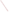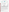

# **ETV Joint Verification Statement**

| TECHNOLOGY TYPE: ON-LINE TURBIDIMETER               |                                                                     |                              |                              |
|-----------------------------------------------------|---------------------------------------------------------------------|------------------------------|------------------------------|
| <b>APPLICATION:</b>                                 | <b>MEASURING LOW TURBIDITY LEVELS</b>                               |                              |                              |
| <b>TECHNOLOGY NAME: TST-SC On-Line Turbidimeter</b> |                                                                     |                              |                              |
| <b>COMPANY:</b>                                     | <b>Monitek Technologies, Inc.</b>                                   |                              |                              |
| <b>ADDRESS:</b>                                     | 2021 Los Positos Court<br>Suite 145                                 | <b>PHONE:</b><br><b>FAX:</b> | 925-243-0050<br>925-243-0051 |
| <b>WEB SITE:</b><br>$E\text{-}{M}\text{A}IL:$       | Livermore, California 94550<br>www.monitek.com<br>sales@monitek.com |                              |                              |

The U.S. Environmental Protection Agency (EPA) has created the Environmental Technology Verification (ETV) Program to facilitate the deployment of innovative or improved environmental technologies through performance verification and dissemination of information. The goal of the ETV Program is to further environmental protection by substantially accelerating the acceptance and use of improved and cost-effective technologies. ETV seeks to achieve this goal by providing high quality, peer-reviewed data on technology performance to those involved in the design, distribution, financing, permitting, purchase, and use of environmental technologies.

ETV works in partnership with recognized standards and testing organizations; stakeholder groups which consist of buyers, vendor organizations, and permitters; and with the full participation of individual technology developers. The program evaluates the performance of innovative technologies by developing test plans that are responsive to the needs of stakeholders, conducting field or laboratory tests (as appropriate), collecting and analyzing data, and preparing peer-reviewed reports. All evaluations are conducted in accordance with rigorous quality assurance protocols to ensure that data of known and adequate quality are generated and that the results are defensible.

The Advanced Monitoring Systems (AMS) program, one of 12 technology areas under ETV, is operated by Battelle in cooperation with EPA's National Exposure Research Laboratory. AMS has recently evaluated the performance of on-line turbidimeters for use in water treatment facilities. This verification statement provides a summary of the test results for the Monitek TST-SC on-line turbidimeter.

## **VERIFICATION TEST DESCRIPTION**

The verification test described in this report was conducted by Battelle in the fall of 1999 on commercial on-line turbidimeters at the City of Columbus Water Division's Dublin Road Water Plant in Columbus, Ohio. The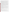verification test was conducted in two phases. An off-line phase challenged the turbidimeters with a series of prepared standards and other test solutions under controlled conditions, whereas an on-line phase assessed longterm performance under realistic conditions by monitoring a sample stream in a municipal water treatment plant. The on-line phase was intended to evaluate performance in continuous unattended monitoring over a low range of turbidity [i.e., 0.1 to 1 nephelometric turbidity unit (NTU)]. No attempt was made to determine the ultimate detection limits of the turbidimeters tested.

In the off-line phase of testing, the linearity, accuracy, precision, and detection limit of the Monitek TST-SC turbidimeter were determined by comparing turbidity measurements on standard solutions to reference measurements of the same solutions. By intentionally varying the water temperature, flow rate, and color of the sample solution, the effect of these parameters on the response of the Monitek TST-SC turbidimeter was determined. In the on-line phase, a sample stream from a municipal water plant was continuously monitored by the TST-SC turbidimeter for approximately 4 weeks. Results from this phase of testing were used to determine the accuracy in measuring real-world samples and the drift characteristics of the TST-SC. Quality assurance (QA) oversight of verification testing was provided by independent Battelle QA staff, who conducted a technical systems audit, and a data audit on 10 percent of the test data.

The verification test relied upon two reference methods: ISO 7027, "Water Quality—Determination of Turbidity" and EPA Method 180.1, "Determination of Turbidity by Nephelometry." The Monitek TST-SC turbidimeter is designed to conform to ISO 7027 requirements, and thus comparison of TST-SC results to those from the ISO 7027 reference method was the primary means of verification. EPA Method 180.1 uses a different wavelength of light than the TST-SC (i.e., visible rather than infrared), and thus is not a directly equivalent method. However, the EPA Method 180.1 method is widely recognized in the U.S. by virtue of its status as the required method for drinking water compliance measurements. Consequently, comparisons of the TST-SC results to Method 180.1 results were also made and are presented as a secondary illustration of performance.

### **TECHNOLOGY DESCRIPTION**

The Monitek Technologies Monilog Model TST-SC uses on-line turbidimeter alternating four-beam technology to measure turbidity and suspended solids. This method uses an array of two light-emitting diodes (LEDs) and two detectors. The LEDs are oriented 90 degrees from each other and are pulsed alternately. This causes the two detectors (located across the process stream and 90 degrees apart) to alternate between their functions as the scatter and direct beam detectors. Since each detector element alternates between functions as the measurement and reference channel, the system compensates for variations in the LED output, window coatings, and other effects. The turbidimeter meets ISO 7027 requirements. The TST-SC has a lower limit of response of 0.1 NTU.

## **VERIFICATION OF PERFORMANCE**

The following are summaries of key performance characteristics as verified by comparison to the ISO 7027 reference method. Secondary illustrations of performance relative to the EPA 180.1 method are also shown in the body of the report, and generally showed similar performance to that found in the verification comparisons.

## **Off-Line Testing**

**Linearity:** The Monitek TST-SC turbidimeter responded linearly to turbidity in the tested range from 0.3 to 5 NTU. The slope of the response curve was 0.935, relative to the ISO 7027 reference turbidimeter, with an  $r^2$ value of > 0.9995, and had a negative intercept of approximately 0.1 NTU.

**Accuracy:** In measuring standard formazin solutions, the Monitek TST-SC turbidimeter showed a negative bias in turbidity throughout the range from 0.3 to 5 NTU. This bias ranged from -0.1 NTU at 0.3 NTU (25 to 30%) to -0.3 NTU at 5 NTU (6 to 8%). A large portion of this bias can be attributed to the intercept (- 0.1 NTU)